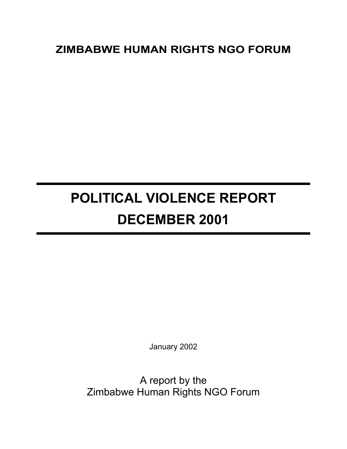# **ZIMBABWE HUMAN RIGHTS NGO FORUM**

# **POLITICAL VIOLENCE REPORT DECEMBER 2001**

January 2002

A report by the Zimbabwe Human Rights NGO Forum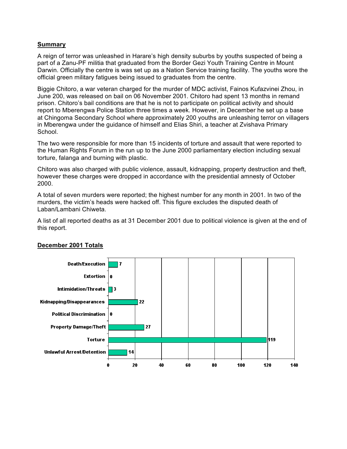# **Summary**

A reign of terror was unleashed in Harare's high density suburbs by youths suspected of being a part of a Zanu-PF militia that graduated from the Border Gezi Youth Training Centre in Mount Darwin. Officially the centre is was set up as a Nation Service training facility. The youths wore the official green military fatigues being issued to graduates from the centre.

Biggie Chitoro, a war veteran charged for the murder of MDC activist, Fainos Kufazvinei Zhou, in June 200, was released on bail on 06 November 2001. Chitoro had spent 13 months in remand prison. Chitoro's bail conditions are that he is not to participate on political activity and should report to Mberengwa Police Station three times a week. However, in December he set up a base at Chingoma Secondary School where approximately 200 youths are unleashing terror on villagers in Mberengwa under the guidance of himself and Elias Shiri, a teacher at Zvishava Primary School.

The two were responsible for more than 15 incidents of torture and assault that were reported to the Human Rights Forum in the run up to the June 2000 parliamentary election including sexual torture, falanga and burning with plastic.

Chitoro was also charged with public violence, assault, kidnapping, property destruction and theft, however these charges were dropped in accordance with the presidential amnesty of October 2000.

A total of seven murders were reported; the highest number for any month in 2001. In two of the murders, the victim's heads were hacked off. This figure excludes the disputed death of Laban/Lambani Chiweta.

A list of all reported deaths as at 31 December 2001 due to political violence is given at the end of this report.



# **December 2001 Totals**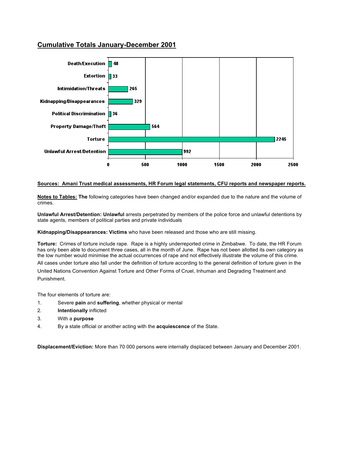# **Cumulative Totals January-December 2001**



#### **Sources: Amani Trust medical assessments, HR Forum legal statements, CFU reports and newspaper reports.**

**Notes to Tables: The** following categories have been changed and/or expanded due to the nature and the volume of crimes.

**Unlawful Arrest/Detention: Unlawful** arrests perpetrated by members of the police force and unlawful detentions by state agents, members of political parties and private individuals

**Kidnapping/Disappearances: Victims** who have been released and those who are still missing.

**Torture:** Crimes of torture include rape. Rape is a highly underreported crime in Zimbabwe. To date, the HR Forum has only been able to document three cases, all in the month of June. Rape has not been allotted its own category as the low number would minimise the actual occurrences of rape and not effectively illustrate the volume of this crime.

All cases under torture also fall under the definition of torture according to the general definition of torture given in the

United Nations Convention Against Torture and Other Forms of Cruel, Inhuman and Degrading Treatment and Punishment.

The four elements of torture are:

- 1. Severe **pain** and **suffering**, whether physical or mental
- 2. **Intentionally** inflicted
- 3. With a **purpose**
- 4. By a state official or another acting with the **acquiescence** of the State.

**Displacement/Eviction:** More than 70 000 persons were internally displaced between January and December 2001.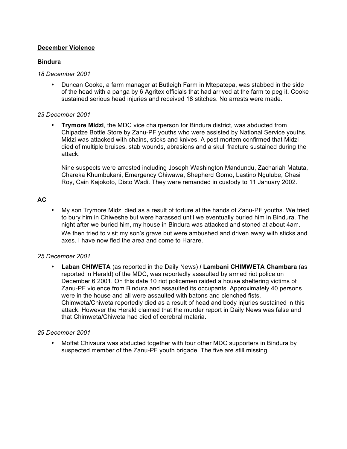# **December Violence**

# **Bindura**

#### *18 December 2001*

• Duncan Cooke, a farm manager at Butleigh Farm in Mtepatepa, was stabbed in the side of the head with a panga by 6 Agritex officials that had arrived at the farm to peg it. Cooke sustained serious head injuries and received 18 stitches. No arrests were made.

### *23 December 2001*

• **Trymore Midzi**, the MDC vice chairperson for Bindura district, was abducted from Chipadze Bottle Store by Zanu-PF youths who were assisted by National Service youths. Midzi was attacked with chains, sticks and knives. A post mortem confirmed that Midzi died of multiple bruises, stab wounds, abrasions and a skull fracture sustained during the attack.

Nine suspects were arrested including Joseph Washington Mandundu, Zachariah Matuta, Chareka Khumbukani, Emergency Chiwawa, Shepherd Gomo, Lastino Ngulube, Chasi Roy, Cain Kajokoto, Disto Wadi. They were remanded in custody to 11 January 2002.

# **AC**

• My son Trymore Midzi died as a result of torture at the hands of Zanu-PF youths. We tried to bury him in Chiweshe but were harassed until we eventually buried him in Bindura. The night after we buried him, my house in Bindura was attacked and stoned at about 4am. We then tried to visit my son's grave but were ambushed and driven away with sticks and axes. I have now fled the area and come to Harare.

# *25 December 2001*

• **Laban CHIWETA** (as reported in the Daily News) **/ Lambani CHIMWETA Chambara** (as reported in Herald) of the MDC, was reportedly assaulted by armed riot police on December 6 2001. On this date 10 riot policemen raided a house sheltering victims of Zanu-PF violence from Bindura and assaulted its occupants. Approximately 40 persons were in the house and all were assaulted with batons and clenched fists. Chimweta/Chiweta reportedly died as a result of head and body injuries sustained in this attack. However the Herald claimed that the murder report in Daily News was false and that Chimweta/Chiweta had died of cerebral malaria.

# *29 December 2001*

• Moffat Chivaura was abducted together with four other MDC supporters in Bindura by suspected member of the Zanu-PF youth brigade. The five are still missing.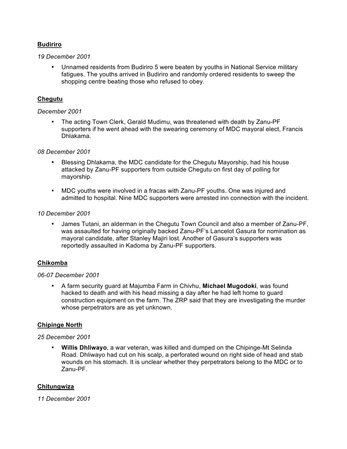# **Budiriro**

### *19 December 2001*

• Unnamed residents from Budiriro 5 were beaten by youths in National Service military fatigues. The youths arrived in Budiriro and randomly ordered residents to sweep the shopping centre beating those who refused to obey.

# **Chegutu**

### *December 2001*

• The acting Town Clerk, Gerald Mudimu, was threatened with death by Zanu-PF supporters if he went ahead with the swearing ceremony of MDC mayoral elect, Francis Dhlakama.

### *08 December 2001*

- Blessing Dhlakama, the MDC candidate for the Chegutu Mayorship, had his house attacked by Zanu-PF supporters from outside Chegutu on first day of polling for mayorship.
- MDC youths were involved in a fracas with Zanu-PF youths. One was injured and admitted to hospital. Nine MDC supporters were arrested inn connection with the incident.

### *10 December 2001*

• James Tutani, an alderman in the Chegutu Town Council and also a member of Zanu-PF, was assaulted for having originally backed Zanu-PF's Lancelot Gasura for nomination as mayoral candidate, after Stanley Majiri lost. Another of Gasura's supporters was reportedly assaulted in Kadoma by Zanu-PF supporters.

# **Chikomba**

# *06-07 December 2001*

• A farm security guard at Majumba Farm in Chivhu, **Michael Mugodoki**, was found hacked to death and with his head missing a day after he had left home to guard construction equipment on the farm. The ZRP said that they are investigating the murder whose perpetrators are as yet unknown.

# **Chipinge North**

#### *25 December 2001*

• **Willis Dhliwayo**, a war veteran, was killed and dumped on the Chipinge-Mt Selinda Road. Dhliwayo had cut on his scalp, a perforated wound on right side of head and stab wounds on his stomach. It is unclear whether they perpetrators belong to the MDC or to Zanu-PF.

# **Chitungwiza**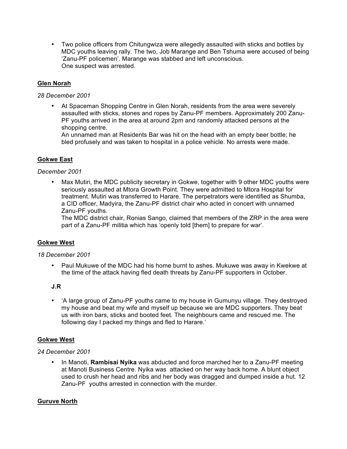• Two police officers from Chitungwiza were allegedly assaulted with sticks and bottles by MDC youths leaving rally. The two, Job Marange and Ben Tshuma were accused of being 'Zanu-PF policemen'. Marange was stabbed and left unconscious. One suspect was arrested.

# **Glen Norah**

# *28 December 2001*

• At Spaceman Shopping Centre in Glen Norah, residents from the area were severely assaulted with sticks, stones and ropes by Zanu-PF members. Approximately 200 Zanu-PF youths arrived in the area at around 2pm and randomly attacked persons at the shopping centre.

An unnamed man at Residents Bar was hit on the head with an empty beer bottle; he bled profusely and was taken to hospital in a police vehicle. No arrests were made.

# **Gokwe East**

#### *December 2001*

• Max Mutiri, the MDC publicity secretary in Gokwe, together with 9 other MDC youths were seriously assaulted at Mtora Growth Point. They were admitted to Mtora Hospital for treatment. Mutiri was transferred to Harare. The perpetrators were identified as Shumba, a CID officer, Madyira, the Zanu-PF district chair who acted in concert with unnamed Zanu-PF youths.

The MDC district chair, Ronias Sango, claimed that members of the ZRP in the area were part of a Zanu-PF militia which has 'openly told [them] to prepare for war'.

# **Gokwe West**

#### *18 December 2001*

• Paul Mukuwe of the MDC had his home burnt to ashes. Mukuwe was away in Kwekwe at the time of the attack having fled death threats by Zanu-PF supporters in October.

#### **J.R**

• 'A large group of Zanu-PF youths came to my house in Gumunyu village. They destroyed my house and beat my wife and myself up because we are MDC supporters. They beat us with iron bars, sticks and booted feet. The neighbours came and rescued me. The following day I packed my things and fled to Harare.'

#### **Gokwe West**

# *24 December 2001*

• In Manoti, **Rambisai Nyika** was abducted and force marched her to a Zanu-PF meeting at Manoti Business Centre. Nyika was attacked on her way back home. A blunt object used to crush her head and ribs and her body was dragged and dumped inside a hut. 12 Zanu-PF youths arrested in connection with the murder.

# **Guruve North**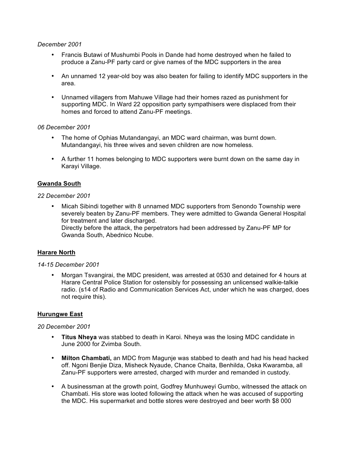#### *December 2001*

- Francis Butawi of Mushumbi Pools in Dande had home destroyed when he failed to produce a Zanu-PF party card or give names of the MDC supporters in the area
- An unnamed 12 year-old boy was also beaten for failing to identify MDC supporters in the area.
- Unnamed villagers from Mahuwe Village had their homes razed as punishment for supporting MDC. In Ward 22 opposition party sympathisers were displaced from their homes and forced to attend Zanu-PF meetings.

### *06 December 2001*

- The home of Ophias Mutandangayi, an MDC ward chairman, was burnt down. Mutandangayi, his three wives and seven children are now homeless.
- A further 11 homes belonging to MDC supporters were burnt down on the same day in Karayi Village.

# **Gwanda South**

#### *22 December 2001*

• Micah Sibindi together with 8 unnamed MDC supporters from Senondo Township were severely beaten by Zanu-PF members. They were admitted to Gwanda General Hospital for treatment and later discharged. Directly before the attack, the perpetrators had been addressed by Zanu-PF MP for

Gwanda South, Abednico Ncube.

# **Harare North**

#### *14-15 December 2001*

• Morgan Tsvangirai, the MDC president, was arrested at 0530 and detained for 4 hours at Harare Central Police Station for ostensibly for possessing an unlicensed walkie-talkie radio. (s14 of Radio and Communication Services Act, under which he was charged, does not require this).

#### **Hurungwe East**

- **Titus Nheya** was stabbed to death in Karoi. Nheya was the losing MDC candidate in June 2000 for Zvimba South.
- **Milton Chambati,** an MDC from Magunje was stabbed to death and had his head hacked off. Ngoni Benjie Diza, Misheck Nyaude, Chance Chaita, Benhilda, Oska Kwaramba, all Zanu-PF supporters were arrested, charged with murder and remanded in custody.
- A businessman at the growth point, Godfrey Munhuweyi Gumbo, witnessed the attack on Chambati. His store was looted following the attack when he was accused of supporting the MDC. His supermarket and bottle stores were destroyed and beer worth \$8 000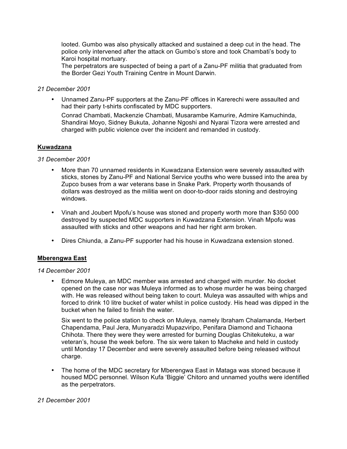looted. Gumbo was also physically attacked and sustained a deep cut in the head. The police only intervened after the attack on Gumbo's store and took Chambati's body to Karoi hospital mortuary.

The perpetrators are suspected of being a part of a Zanu-PF militia that graduated from the Border Gezi Youth Training Centre in Mount Darwin.

### *21 December 2001*

• Unnamed Zanu-PF supporters at the Zanu-PF offices in Karerechi were assaulted and had their party t-shirts confiscated by MDC supporters.

Conrad Chambati, Mackenzie Chambati, Musarambe Kamurire, Admire Kamuchinda, Shandirai Moyo, Sidney Bukuta, Johanne Ngoshi and Nyarai Tizora were arrested and charged with public violence over the incident and remanded in custody.

### **Kuwadzana**

### *31 December 2001*

- More than 70 unnamed residents in Kuwadzana Extension were severely assaulted with sticks, stones by Zanu-PF and National Service youths who were bussed into the area by Zupco buses from a war veterans base in Snake Park. Property worth thousands of dollars was destroyed as the militia went on door-to-door raids stoning and destroying windows.
- Vinah and Joubert Mpofu's house was stoned and property worth more than \$350 000 destroyed by suspected MDC supporters in Kuwadzana Extension. Vinah Mpofu was assaulted with sticks and other weapons and had her right arm broken.
- Dires Chiunda, a Zanu-PF supporter had his house in Kuwadzana extension stoned.

#### **Mberengwa East**

#### *14 December 2001*

• Edmore Muleya, an MDC member was arrested and charged with murder. No docket opened on the case nor was Muleya informed as to whose murder he was being charged with. He was released without being taken to court. Muleya was assaulted with whips and forced to drink 10 litre bucket of water whilst in police custody. His head was dipped in the bucket when he failed to finish the water.

Six went to the police station to check on Muleya, namely Ibraham Chalamanda, Herbert Chapendama, Paul Jera, Munyaradzi Mupazviripo, Penifara Diamond and Tichaona Chihota. There they were they were arrested for burning Douglas Chitekuteku, a war veteran's, house the week before. The six were taken to Macheke and held in custody until Monday 17 December and were severely assaulted before being released without charge.

• The home of the MDC secretary for Mberengwa East in Mataga was stoned because it housed MDC personnel. Wilson Kufa 'Biggie' Chitoro and unnamed youths were identified as the perpetrators.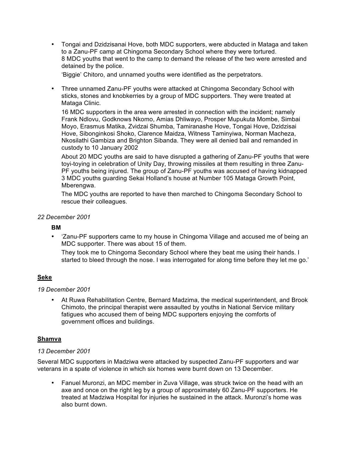• Tongai and Dzidzisanai Hove, both MDC supporters, were abducted in Mataga and taken to a Zanu-PF camp at Chingoma Secondary School where they were tortured. 8 MDC youths that went to the camp to demand the release of the two were arrested and detained by the police.

'Biggie' Chitoro, and unnamed youths were identified as the perpetrators.

• Three unnamed Zanu-PF youths were attacked at Chingoma Secondary School with sticks, stones and knobkerries by a group of MDC supporters. They were treated at Mataga Clinic.

16 MDC supporters in the area were arrested in connection with the incident; namely Frank Ndlovu, Godknows Nkomo, Amias Dhliwayo, Prosper Mupukuta Mombe, Simbai Moyo, Erasmus Matika, Zvidzai Shumba, Tamiranashe Hove, Tongai Hove, Dzidzisai Hove, Sibonginkosi Shoko, Clarence Maidza, Witness Taminyiwa, Norman Macheza, Nkosilathi Gambiza and Brighton Sibanda. They were all denied bail and remanded in custody to 10 January 2002

About 20 MDC youths are said to have disrupted a gathering of Zanu-PF youths that were toyi-toying in celebration of Unity Day, throwing missiles at them resulting in three Zanu-PF youths being injured. The group of Zanu-PF youths was accused of having kidnapped 3 MDC youths guarding Sekai Holland's house at Number 105 Mataga Growth Point, Mberengwa.

The MDC youths are reported to have then marched to Chingoma Secondary School to rescue their colleagues.

*22 December 2001*

#### **BM**

• 'Zanu-PF supporters came to my house in Chingoma Village and accused me of being an MDC supporter. There was about 15 of them.

They took me to Chingoma Secondary School where they beat me using their hands. I started to bleed through the nose. I was interrogated for along time before they let me go.'

# **Seke**

*19 December 2001*

• At Ruwa Rehabilitation Centre, Bernard Madzima, the medical superintendent, and Brook Chimoto, the principal therapist were assaulted by youths in National Service military fatigues who accused them of being MDC supporters enjoying the comforts of government offices and buildings.

# **Shamva**

#### *13 December 2001*

Several MDC supporters in Madziwa were attacked by suspected Zanu-PF supporters and war veterans in a spate of violence in which six homes were burnt down on 13 December.

• Fanuel Muronzi, an MDC member in Zuva Village, was struck twice on the head with an axe and once on the right leg by a group of approximately 60 Zanu-PF supporters. He treated at Madziwa Hospital for injuries he sustained in the attack. Muronzi's home was also burnt down.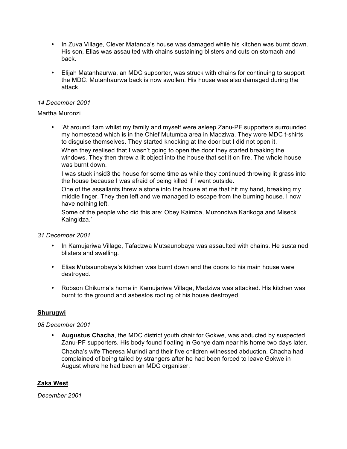- In Zuva Village, Clever Matanda's house was damaged while his kitchen was burnt down. His son, Elias was assaulted with chains sustaining blisters and cuts on stomach and back.
- Elijah Matanhaurwa, an MDC supporter, was struck with chains for continuing to support the MDC. Mutanhaurwa back is now swollen. His house was also damaged during the attack.

# *14 December 2001*

### Martha Muronzi

• 'At around 1am whilst my family and myself were asleep Zanu-PF supporters surrounded my homestead which is in the Chief Mutumba area in Madziwa. They wore MDC t-shirts to disguise themselves. They started knocking at the door but I did not open it. When they realised that I wasn't going to open the door they started breaking the windows. They then threw a lit object into the house that set it on fire. The whole house was burnt down.

I was stuck insid3 the house for some time as while they continued throwing lit grass into the house because I was afraid of being killed if I went outside.

One of the assailants threw a stone into the house at me that hit my hand, breaking my middle finger. They then left and we managed to escape from the burning house. I now have nothing left.

Some of the people who did this are: Obey Kaimba, Muzondiwa Karikoga and Miseck Kaingidza.'

#### *31 December 2001*

- In Kamujariwa Village, Tafadzwa Mutsaunobaya was assaulted with chains. He sustained blisters and swelling.
- Elias Mutsaunobaya's kitchen was burnt down and the doors to his main house were destroyed.
- Robson Chikuma's home in Kamujariwa Village, Madziwa was attacked. His kitchen was burnt to the ground and asbestos roofing of his house destroyed.

# **Shurugwi**

#### *08 December 2001*

• **Augustus Chacha**, the MDC district youth chair for Gokwe, was abducted by suspected Zanu-PF supporters. His body found floating in Gonye dam near his home two days later. Chacha's wife Theresa Murindi and their five children witnessed abduction. Chacha had complained of being tailed by strangers after he had been forced to leave Gokwe in August where he had been an MDC organiser.

# **Zaka West**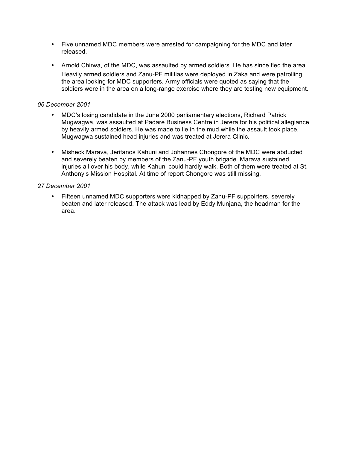- Five unnamed MDC members were arrested for campaigning for the MDC and later released.
- Arnold Chirwa, of the MDC, was assaulted by armed soldiers. He has since fled the area. Heavily armed soldiers and Zanu-PF militias were deployed in Zaka and were patrolling the area looking for MDC supporters. Army officials were quoted as saying that the soldiers were in the area on a long-range exercise where they are testing new equipment.

# *06 December 2001*

- MDC's losing candidate in the June 2000 parliamentary elections, Richard Patrick Mugwagwa, was assaulted at Padare Business Centre in Jerera for his political allegiance by heavily armed soldiers. He was made to lie in the mud while the assault took place. Mugwagwa sustained head injuries and was treated at Jerera Clinic.
- Misheck Marava, Jerifanos Kahuni and Johannes Chongore of the MDC were abducted and severely beaten by members of the Zanu-PF youth brigade. Marava sustained injuries all over his body, while Kahuni could hardly walk. Both of them were treated at St. Anthony's Mission Hospital. At time of report Chongore was still missing.

### *27 December 2001*

Fifteen unnamed MDC supporters were kidnapped by Zanu-PF suppoirters, severely beaten and later released. The attack was lead by Eddy Munjana, the headman for the area.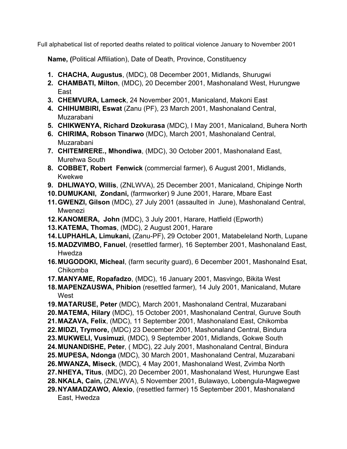Full alphabetical list of reported deaths related to political violence January to November 2001

**Name, (**Political Affiliation), Date of Death, Province, Constituency

- **1. CHACHA, Augustus**, (MDC), 08 December 2001, Midlands, Shurugwi
- **2. CHAMBATI, Milton**, (MDC), 20 December 2001, Mashonaland West, Hurungwe East
- **3. CHEMVURA, Lameck**, 24 November 2001, Manicaland, Makoni East
- **4. CHIHUMBIRI, Eswat** (Zanu (PF), 23 March 2001, Mashonaland Central, Muzarabani
- **5. CHIKWENYA, Richard Dzokurasa** (MDC), I May 2001, Manicaland, Buhera North
- **6. CHIRIMA, Robson Tinarwo** (MDC), March 2001, Mashonaland Central, Muzarabani
- **7. CHITEMRERE., Mhondiwa**, (MDC), 30 October 2001, Mashonaland East, Murehwa South
- **8. COBBET, Robert Fenwick** (commercial farmer), 6 August 2001, Midlands, Kwekwe
- **9. DHLIWAYO, Willis**, (ZNLWVA), 25 December 2001, Manicaland, Chipinge North
- **10.DUMUKANI, Zondani,** (farmworker) 9 June 2001, Harare, Mbare East
- **11.GWENZI, Gilson** (MDC), 27 July 2001 (assaulted in June), Mashonaland Central, Mwenezi
- **12.KANOMERA, John** (MDC), 3 July 2001, Harare, Hatfield (Epworth)
- **13.KATEMA, Thomas**, (MDC), 2 August 2001, Harare
- **14.LUPHAHLA, Limukani,** (Zanu-PF), 29 October 2001, Matabeleland North, Lupane
- **15.MADZVIMBO, Fanuel**, (resettled farmer), 16 September 2001, Mashonaland East, Hwedza
- **16.MUGODOKI, Micheal**, (farm security guard), 6 December 2001, Mashonalnd Esat, Chikomba
- **17.MANYAME, Ropafadzo**, (MDC), 16 January 2001, Masvingo, Bikita West
- **18.MAPENZAUSWA, Phibion** (resettled farmer), 14 July 2001, Manicaland, Mutare **West**
- **19.MATARUSE, Peter** (MDC), March 2001, Mashonaland Central, Muzarabani **20.MATEMA, Hilary** (MDC), 15 October 2001, Mashonaland Central, Guruve South
- **21.MAZAVA, Felix**, (MDC), 11 September 2001, Mashonaland East, Chikomba
- **22.MIDZI, Trymore,** (MDC) 23 December 2001, Mashonaland Central, Bindura
- **23.MUKWELI, Vusimuzi**, (MDC), 9 September 2001, Midlands, Gokwe South
- **24.MUNANDISHE, Peter**, ( MDC), 22 July 2001, Mashonaland Central, Bindura
- **25.MUPESA, Ndonga** (MDC), 30 March 2001, Mashonaland Central, Muzarabani
- **26.MWANZA, Miseck**, (MDC), 4 May 2001, Mashonaland West, Zvimba North
- **27.NHEYA, Titus**, (MDC), 20 December 2001, Mashonaland West, Hurungwe East
- **28.NKALA, Cain,** (ZNLWVA), 5 November 2001, Bulawayo, Lobengula-Magwegwe
- **29.NYAMADZAWO, Alexio**, (resettled farmer) 15 September 2001, Mashonaland East, Hwedza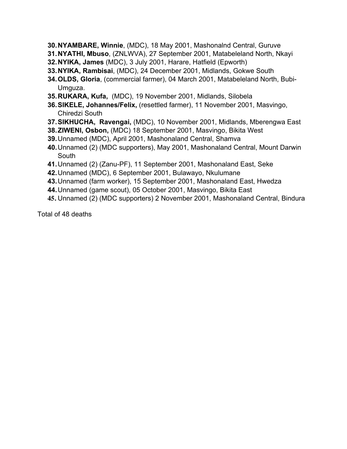- **30.NYAMBARE, Winnie**, (MDC), 18 May 2001, Mashonalnd Central, Guruve
- **31.NYATHI, Mbuso**, (ZNLWVA), 27 September 2001, Matabeleland North, Nkayi
- **32.NYIKA, James** (MDC), 3 July 2001, Harare, Hatfield (Epworth)
- **33.NYIKA, Rambisai**, (MDC), 24 December 2001, Midlands, Gokwe South
- **34.OLDS, Gloria**, (commercial farmer), 04 March 2001, Matabeleland North, Bubi-Umguza.
- **35.RUKARA, Kufa,** (MDC), 19 November 2001, Midlands, Silobela
- **36.SIKELE, Johannes/Felix,** (resettled farmer), 11 November 2001, Masvingo, Chiredzi South
- **37.SIKHUCHA, Ravengai,** (MDC), 10 November 2001, Midlands, Mberengwa East
- **38.ZIWENI, Osbon,** (MDC) 18 September 2001, Masvingo, Bikita West
- **39.**Unnamed (MDC), April 2001, Mashonaland Central, Shamva
- **40.**Unnamed (2) (MDC supporters), May 2001, Mashonaland Central, Mount Darwin **South**
- **41.**Unnamed (2) (Zanu-PF), 11 September 2001, Mashonaland East, Seke
- **42.**Unnamed (MDC), 6 September 2001, Bulawayo, Nkulumane
- **43.**Unnamed (farm worker), 15 September 2001, Mashonaland East, Hwedza
- **44.**Unnamed (game scout), 05 October 2001, Masvingo, Bikita East
- **45.** Unnamed (2) (MDC supporters) 2 November 2001, Mashonaland Central, Bindura

Total of 48 deaths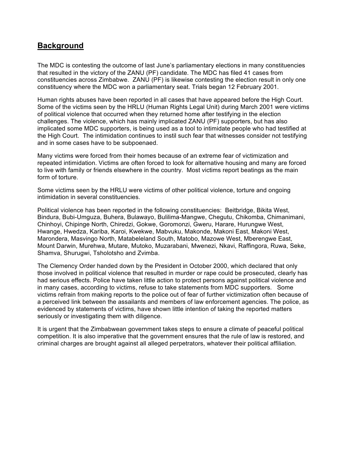# **Background**

The MDC is contesting the outcome of last June's parliamentary elections in many constituencies that resulted in the victory of the ZANU (PF) candidate. The MDC has filed 41 cases from constituencies across Zimbabwe. ZANU (PF) is likewise contesting the election result in only one constituency where the MDC won a parliamentary seat. Trials began 12 February 2001.

Human rights abuses have been reported in all cases that have appeared before the High Court. Some of the victims seen by the HRLU (Human Rights Legal Unit) during March 2001 were victims of political violence that occurred when they returned home after testifying in the election challenges. The violence, which has mainly implicated ZANU (PF) supporters, but has also implicated some MDC supporters, is being used as a tool to intimidate people who had testified at the High Court. The intimidation continues to instil such fear that witnesses consider not testifying and in some cases have to be subpoenaed.

Many victims were forced from their homes because of an extreme fear of victimization and repeated intimidation. Victims are often forced to look for alternative housing and many are forced to live with family or friends elsewhere in the country. Most victims report beatings as the main form of torture.

Some victims seen by the HRLU were victims of other political violence, torture and ongoing intimidation in several constituencies.

Political violence has been reported in the following constituencies: Beitbridge, Bikita West, Bindura, Bubi-Umguza, Buhera, Bulawayo, Bulilima-Mangwe, Chegutu, Chikomba, Chimanimani, Chinhoyi, Chipinge North, Chiredzi, Gokwe, Goromonzi, Gweru, Harare, Hurungwe West, Hwange, Hwedza, Kariba, Karoi, Kwekwe, Mabvuku, Makonde, Makoni East, Makoni West, Marondera, Masvingo North, Matabeleland South, Matobo, Mazowe West, Mberengwe East, Mount Darwin, Murehwa, Mutare, Mutoko, Muzarabani, Mwenezi, Nkavi, Raffingora, Ruwa, Seke, Shamva, Shurugwi, Tsholotsho and Zvimba.

The Clemency Order handed down by the President in October 2000, which declared that only those involved in political violence that resulted in murder or rape could be prosecuted, clearly has had serious effects. Police have taken little action to protect persons against political violence and in many cases, according to victims, refuse to take statements from MDC supporters. Some victims refrain from making reports to the police out of fear of further victimization often because of a perceived link between the assailants and members of law enforcement agencies. The police, as evidenced by statements of victims, have shown little intention of taking the reported matters seriously or investigating them with diligence.

It is urgent that the Zimbabwean government takes steps to ensure a climate of peaceful political competition. It is also imperative that the government ensures that the rule of law is restored, and criminal charges are brought against all alleged perpetrators, whatever their political affiliation.